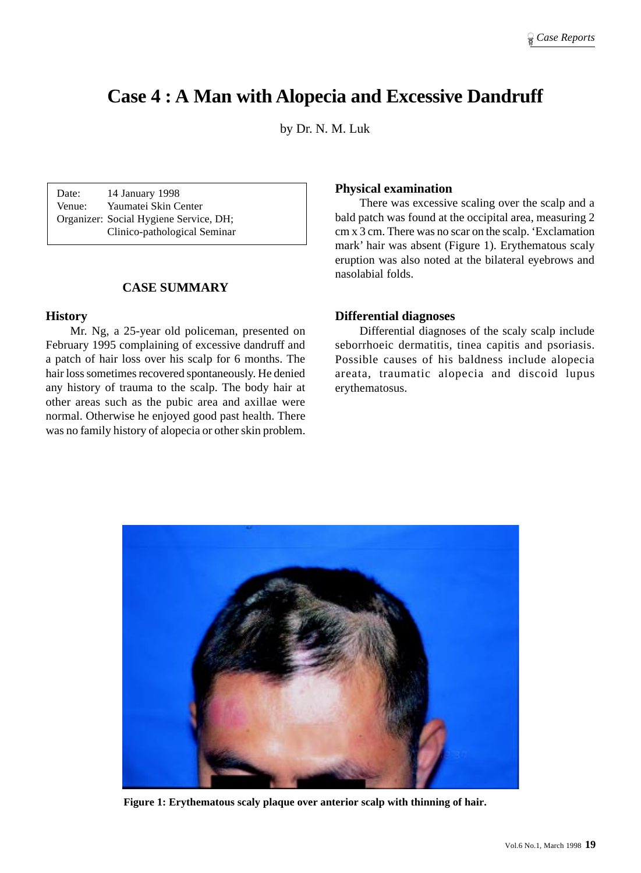# **Case 4 : A Man with Alopecia and Excessive Dandruff**

by Dr. N. M. Luk

Date: 14 January 1998 Venue: Yaumatei Skin Center Organizer: Social Hygiene Service, DH; Clinico-pathological Seminar

## **CASE SUMMARY**

## **History**

Mr. Ng, a 25-year old policeman, presented on February 1995 complaining of excessive dandruff and a patch of hair loss over his scalp for 6 months. The hair loss sometimes recovered spontaneously. He denied any history of trauma to the scalp. The body hair at other areas such as the pubic area and axillae were normal. Otherwise he enjoyed good past health. There was no family history of alopecia or other skin problem.

## **Physical examination**

There was excessive scaling over the scalp and a bald patch was found at the occipital area, measuring 2 cm x 3 cm. There was no scar on the scalp. 'Exclamation mark' hair was absent (Figure 1). Erythematous scaly eruption was also noted at the bilateral eyebrows and nasolabial folds.

## **Differential diagnoses**

Differential diagnoses of the scaly scalp include seborrhoeic dermatitis, tinea capitis and psoriasis. Possible causes of his baldness include alopecia areata, traumatic alopecia and discoid lupus erythematosus.



**Figure 1: Erythematous scaly plaque over anterior scalp with thinning of hair.**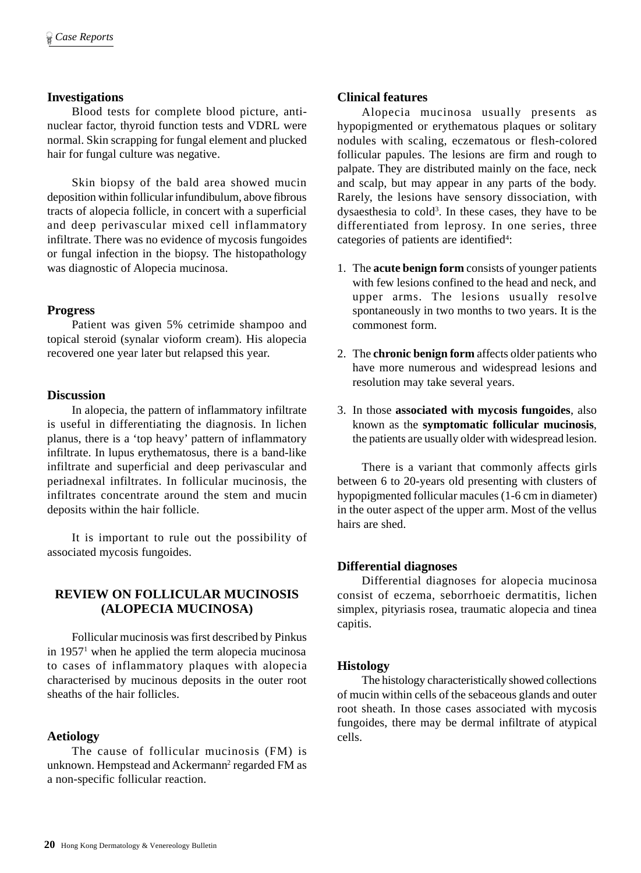## **Investigations**

Blood tests for complete blood picture, antinuclear factor, thyroid function tests and VDRL were normal. Skin scrapping for fungal element and plucked hair for fungal culture was negative.

Skin biopsy of the bald area showed mucin deposition within follicular infundibulum, above fibrous tracts of alopecia follicle, in concert with a superficial and deep perivascular mixed cell inflammatory infiltrate. There was no evidence of mycosis fungoides or fungal infection in the biopsy. The histopathology was diagnostic of Alopecia mucinosa.

## **Progress**

Patient was given 5% cetrimide shampoo and topical steroid (synalar vioform cream). His alopecia recovered one year later but relapsed this year.

#### **Discussion**

In alopecia, the pattern of inflammatory infiltrate is useful in differentiating the diagnosis. In lichen planus, there is a 'top heavy' pattern of inflammatory infiltrate. In lupus erythematosus, there is a band-like infiltrate and superficial and deep perivascular and periadnexal infiltrates. In follicular mucinosis, the infiltrates concentrate around the stem and mucin deposits within the hair follicle.

It is important to rule out the possibility of associated mycosis fungoides.

## **REVIEW ON FOLLICULAR MUCINOSIS (ALOPECIA MUCINOSA)**

Follicular mucinosis was first described by Pinkus in 19571 when he applied the term alopecia mucinosa to cases of inflammatory plaques with alopecia characterised by mucinous deposits in the outer root sheaths of the hair follicles.

## **Aetiology**

The cause of follicular mucinosis (FM) is unknown. Hempstead and Ackermann<sup>2</sup> regarded FM as a non-specific follicular reaction.

## **Clinical features**

Alopecia mucinosa usually presents as hypopigmented or erythematous plaques or solitary nodules with scaling, eczematous or flesh-colored follicular papules. The lesions are firm and rough to palpate. They are distributed mainly on the face, neck and scalp, but may appear in any parts of the body. Rarely, the lesions have sensory dissociation, with dysaesthesia to cold<sup>3</sup>. In these cases, they have to be differentiated from leprosy. In one series, three categories of patients are identified<sup>4</sup>:

- 1. The **acute benign form** consists of younger patients with few lesions confined to the head and neck, and upper arms. The lesions usually resolve spontaneously in two months to two years. It is the commonest form.
- 2. The **chronic benign form** affects older patients who have more numerous and widespread lesions and resolution may take several years.
- 3. In those **associated with mycosis fungoides**, also known as the **symptomatic follicular mucinosis**, the patients are usually older with widespread lesion.

There is a variant that commonly affects girls between 6 to 20-years old presenting with clusters of hypopigmented follicular macules (1-6 cm in diameter) in the outer aspect of the upper arm. Most of the vellus hairs are shed.

## **Differential diagnoses**

Differential diagnoses for alopecia mucinosa consist of eczema, seborrhoeic dermatitis, lichen simplex, pityriasis rosea, traumatic alopecia and tinea capitis.

## **Histology**

The histology characteristically showed collections of mucin within cells of the sebaceous glands and outer root sheath. In those cases associated with mycosis fungoides, there may be dermal infiltrate of atypical cells.